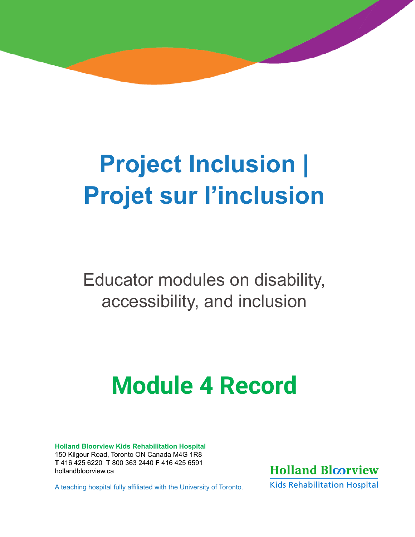# **| Project Inclusion Projet sur l'inclusion**

This document contains both information and form fields. To read information, use the Down Arrow from a form field.

Educator modules on disability, accessibility, and inclusion

# **Module 4 Record**

**Holland Bloorview Kids Rehabilitation Hospital**  150 Kilgour Road, Toronto ON Canada M4G 1R8 **T** 416 425 6220 **T** 800 363 2440 **F** 416 425 6591 [hollandbloorview.ca](http://hollandbloorview.ca)

A teaching hospital fully affiliated with the University of Toronto.



**Kids Rehabilitation Hospital**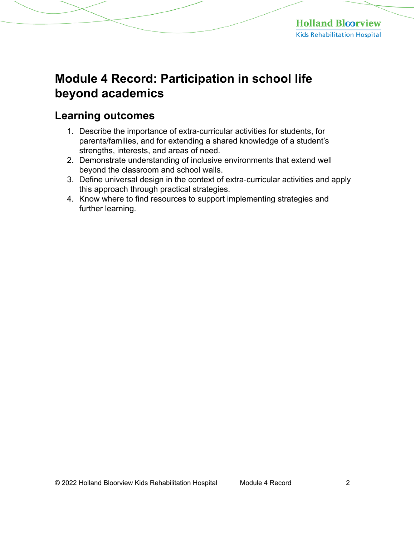# **Module 4 Record: Participation in school life beyond academics**

# **Learning outcomes**

- 1. Describe the importance of extra-curricular activities for students, for parents/families, and for extending a shared knowledge of a student's strengths, interests, and areas of need.
- 2. Demonstrate understanding of inclusive environments that extend well beyond the classroom and school walls.
- 3. Define universal design in the context of extra-curricular activities and apply this approach through practical strategies.
- 4. Know where to find resources to support implementing strategies and further learning.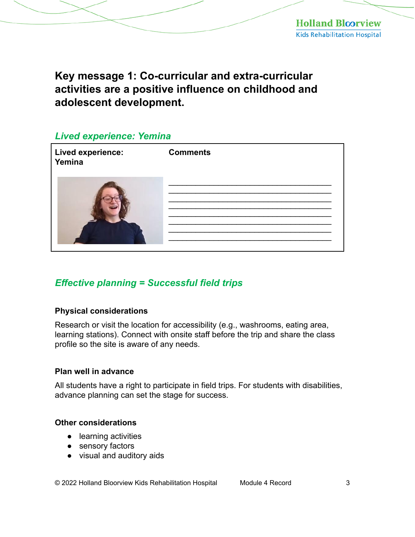**Key message 1: Co-curricular and extra-curricular activities are a positive influence on childhood and adolescent development.** 

#### *Lived experience: Yemina*

| <b>Lived experience:</b><br>Yemina | <b>Comments</b> |
|------------------------------------|-----------------|
|                                    |                 |

## *Effective planning = Successful field trips*

#### **Physical considerations**

Research or visit the location for accessibility (e.g., washrooms, eating area, learning stations). Connect with onsite staff before the trip and share the class profile so the site is aware of any needs.

#### **Plan well in advance**

All students have a right to participate in field trips. For students with disabilities, advance planning can set the stage for success.

#### **Other considerations**

- learning activities
- sensory factors
- visual and auditory aids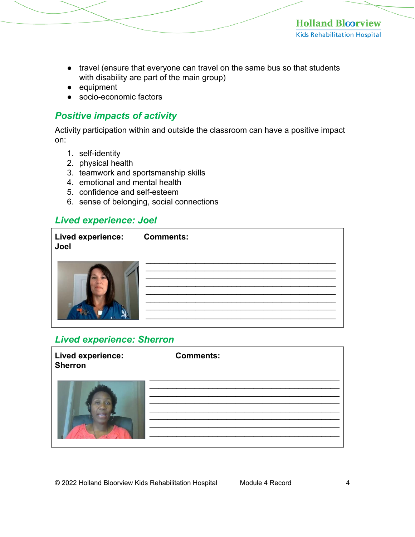- travel (ensure that everyone can travel on the same bus so that students with disability are part of the main group)
- equipment
- socio-economic factors

## *Positive impacts of activity*

Activity participation within and outside the classroom can have a positive impact on:

- 1. self-identity
- 2. physical health
- 3. teamwork and sportsmanship skills
- 4. emotional and mental health
- 5. confidence and self-esteem
- 6. sense of belonging, social connections

## *Lived experience: Joel*

| Lived experience: Comments:<br>Joel |  |
|-------------------------------------|--|
|                                     |  |

## *Lived experience: Sherron*

| Lived experience:<br><b>Sherron</b> | <b>Comments:</b> |  |
|-------------------------------------|------------------|--|
|                                     |                  |  |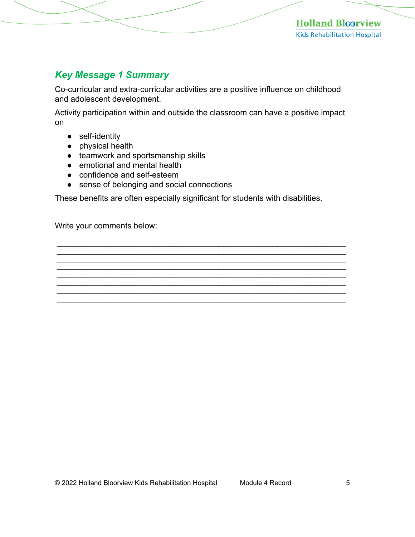## *Key Message 1 Summary*

Co-curricular and extra-curricular activities are a positive influence on childhood and adolescent development.

Activity participation within and outside the classroom can have a positive impact on

- self-identity
- physical health
- teamwork and sportsmanship skills
- emotional and mental health
- confidence and self-esteem
- sense of belonging and social connections

These benefits are often especially significant for students with disabilities.

\_\_\_\_\_\_\_\_\_\_\_\_\_\_\_\_\_\_\_\_\_\_\_\_\_\_\_\_\_\_\_\_\_\_\_\_\_\_\_\_\_\_\_\_\_\_\_\_\_\_\_\_\_\_\_\_\_\_\_ \_\_\_\_\_\_\_\_\_\_\_\_\_\_\_\_\_\_\_\_\_\_\_\_\_\_\_\_\_\_\_\_\_\_\_\_\_\_\_\_\_\_\_\_\_\_\_\_\_\_\_\_\_\_\_\_\_\_\_ \_\_\_\_\_\_\_\_\_\_\_\_\_\_\_\_\_\_\_\_\_\_\_\_\_\_\_\_\_\_\_\_\_\_\_\_\_\_\_\_\_\_\_\_\_\_\_\_\_\_\_\_\_\_\_\_\_\_\_ \_\_\_\_\_\_\_\_\_\_\_\_\_\_\_\_\_\_\_\_\_\_\_\_\_\_\_\_\_\_\_\_\_\_\_\_\_\_\_\_\_\_\_\_\_\_\_\_\_\_\_\_\_\_\_\_\_\_\_ \_\_\_\_\_\_\_\_\_\_\_\_\_\_\_\_\_\_\_\_\_\_\_\_\_\_\_\_\_\_\_\_\_\_\_\_\_\_\_\_\_\_\_\_\_\_\_\_\_\_\_\_\_\_\_\_\_\_\_ \_\_\_\_\_\_\_\_\_\_\_\_\_\_\_\_\_\_\_\_\_\_\_\_\_\_\_\_\_\_\_\_\_\_\_\_\_\_\_\_\_\_\_\_\_\_\_\_\_\_\_\_\_\_\_\_\_\_\_ \_\_\_\_\_\_\_\_\_\_\_\_\_\_\_\_\_\_\_\_\_\_\_\_\_\_\_\_\_\_\_\_\_\_\_\_\_\_\_\_\_\_\_\_\_\_\_\_\_\_\_\_\_\_\_\_\_\_\_ \_\_\_\_\_\_\_\_\_\_\_\_\_\_\_\_\_\_\_\_\_\_\_\_\_\_\_\_\_\_\_\_\_\_\_\_\_\_\_\_\_\_\_\_\_\_\_\_\_\_\_\_\_\_\_\_\_\_\_

Write your comments below: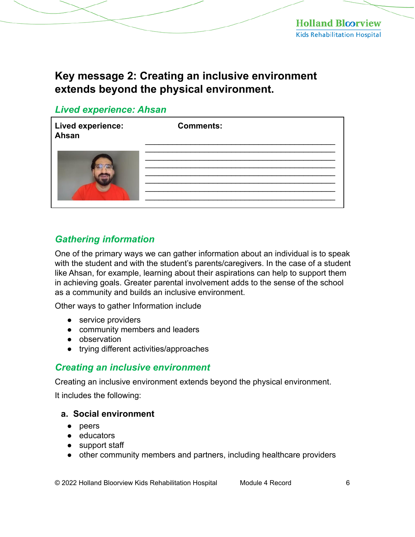# **Key message 2: Creating an inclusive environment extends beyond the physical environment.**

## *Lived experience: Ahsan*

| <b>Lived experience:</b><br>Ahsan | <b>Comments:</b> |
|-----------------------------------|------------------|
|                                   |                  |

## *Gathering information*

One of the primary ways we can gather information about an individual is to speak with the student and with the student's parents/caregivers. In the case of a student like Ahsan, for example, learning about their aspirations can help to support them in achieving goals. Greater parental involvement adds to the sense of the school as a community and builds an inclusive environment.

Other ways to gather Information include

- service providers
- community members and leaders
- observation
- trying different activities/approaches

#### *Creating an inclusive environment*

Creating an inclusive environment extends beyond the physical environment.

It includes the following:

#### **a. Social environment**

- peers
- educators
- support staff
- other community members and partners, including healthcare providers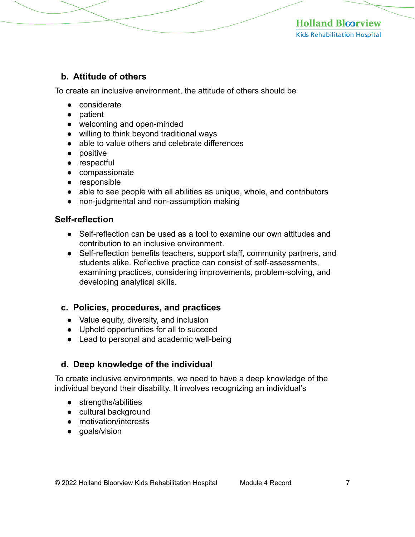#### **b. Attitude of others**

To create an inclusive environment, the attitude of others should be

- considerate
- patient
- welcoming and open-minded
- willing to think beyond traditional ways
- able to value others and celebrate differences
- positive
- respectful
- compassionate
- responsible
- able to see people with all abilities as unique, whole, and contributors
- non-judgmental and non-assumption making

#### **Self-reflection**

- Self-reflection can be used as a tool to examine our own attitudes and contribution to an inclusive environment.
- Self-reflection benefits teachers, support staff, community partners, and students alike. Reflective practice can consist of self-assessments, examining practices, considering improvements, problem-solving, and developing analytical skills.

#### **c. Policies, procedures, and practices**

- Value equity, diversity, and inclusion
- Uphold opportunities for all to succeed
- Lead to personal and academic well-being

## **d. Deep knowledge of the individual**

To create inclusive environments, we need to have a deep knowledge of the individual beyond their disability. It involves recognizing an individual's

- strengths/abilities
- cultural background
- motivation/interests
- goals/vision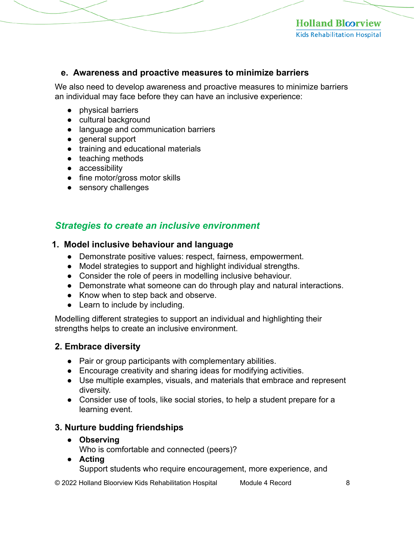#### **e. Awareness and proactive measures to minimize barriers**

We also need to develop awareness and proactive measures to minimize barriers an individual may face before they can have an inclusive experience:

- physical barriers
- cultural background
- language and communication barriers
- general support
- training and educational materials
- teaching methods
- accessibility
- fine motor/gross motor skills
- sensory challenges

## *Strategies to create an inclusive environment*

#### **1. Model inclusive behaviour and language**

- Demonstrate positive values: respect, fairness, empowerment.
- Model strategies to support and highlight individual strengths.
- Consider the role of peers in modelling inclusive behaviour.
- Demonstrate what someone can do through play and natural interactions.
- Know when to step back and observe.
- Learn to include by including.

Modelling different strategies to support an individual and highlighting their strengths helps to create an inclusive environment.

## **2. Embrace diversity**

- Pair or group participants with complementary abilities.
- Encourage creativity and sharing ideas for modifying activities.
- Use multiple examples, visuals, and materials that embrace and represent diversity.
- Consider use of tools, like social stories, to help a student prepare for a learning event.

## **3. Nurture budding friendships**

#### ● **Observing**

Who is comfortable and connected (peers)?

**● Acting** 

Support students who require encouragement, more experience, and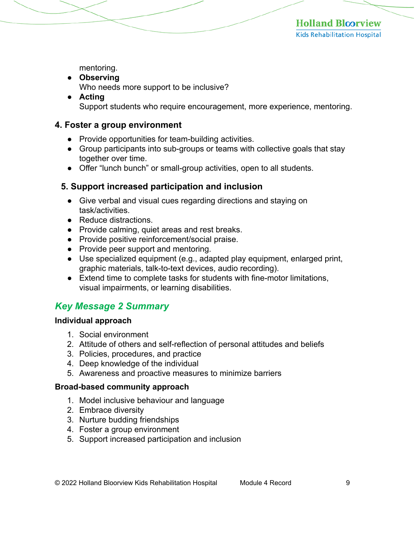mentoring.

- **Observing** 
	- Who needs more support to be inclusive?
- **Acting**  Support students who require encouragement, more experience, mentoring.

#### **4. Foster a group environment**

- Provide opportunities for team-building activities.
- Group participants into sub-groups or teams with collective goals that stay together over time.
- Offer "lunch bunch" or small-group activities, open to all students.

#### **5. Support increased participation and inclusion**

- Give verbal and visual cues regarding directions and staying on task/activities.
- Reduce distractions.
- Provide calming, quiet areas and rest breaks.
- Provide positive reinforcement/social praise.
- Provide peer support and mentoring.
- Use specialized equipment (e.g., adapted play equipment, enlarged print, graphic materials, talk-to-text devices, audio recording).
- Extend time to complete tasks for students with fine-motor limitations, visual impairments, or learning disabilities.

## *Key Message 2 Summary*

#### **Individual approach**

- 1. Social environment
- 2. Attitude of others and self-reflection of personal attitudes and beliefs
- 3. Policies, procedures, and practice
- 4. Deep knowledge of the individual
- 5. Awareness and proactive measures to minimize barriers

#### **Broad-based community approach**

- 1. Model inclusive behaviour and language
- 2. Embrace diversity
- 3. Nurture budding friendships
- 4. Foster a group environment
- 5. Support increased participation and inclusion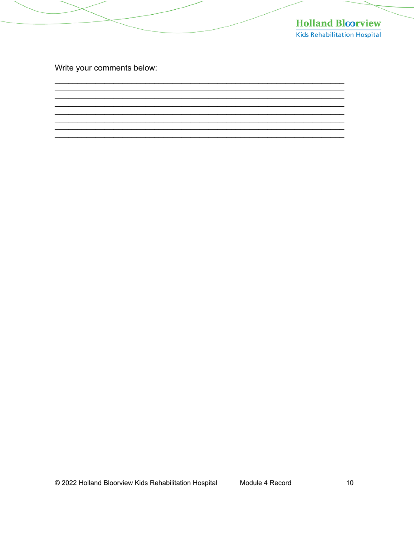

Write your comments below: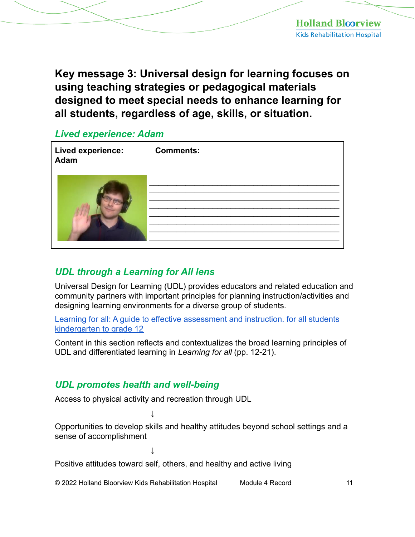**Key message 3: Universal design for learning focuses on using teaching strategies or pedagogical materials designed to meet special needs to enhance learning for all students, regardless of age, skills, or situation.** 

## *Lived experience: Adam*

| Lived experience:<br>Adam | <b>Comments:</b> |
|---------------------------|------------------|
|                           |                  |

## *UDL through a Learning for All lens*

Universal Design for Learning (UDL) provides educators and related education and community partners with important principles for planning instruction/activities and designing learning environments for a diverse group of students.

Learning for all: A guide to effective assessment and instruction. for all students kindergarten to grade 12

Content in this section reflects and contextualizes the broad learning principles of UDL and differentiated learning in *Learning for all* (pp. 12-21).

## *UDL promotes health and well-being*

Access to physical activity and recreation through UDL

**↓** 

**↓** 

Opportunities to develop skills and healthy attitudes beyond school settings and a sense of accomplishment

Positive attitudes toward self, others, and healthy and active living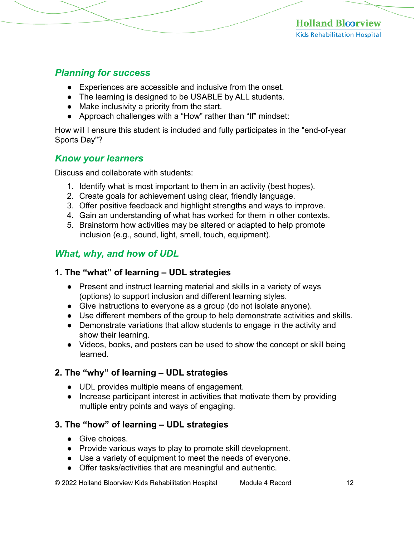## *Planning for success*

- Experiences are accessible and inclusive from the onset.
- The learning is designed to be USABLE by ALL students.
- Make inclusivity a priority from the start.
- Approach challenges with a "How" rather than "If" mindset:

How will I ensure this student is included and fully participates in the "end-of-year Sports Day"?

## *Know your learners*

Discuss and collaborate with students:

- 1. Identify what is most important to them in an activity (best hopes).
- 2. Create goals for achievement using clear, friendly language.
- 3. Offer positive feedback and highlight strengths and ways to improve.
- 4. Gain an understanding of what has worked for them in other contexts.
- 5. Brainstorm how activities may be altered or adapted to help promote inclusion (e.g., sound, light, smell, touch, equipment).

## *What, why, and how of UDL*

## **1. The "what" of learning ‒ UDL strategies**

- Present and instruct learning material and skills in a variety of ways (options) to support inclusion and different learning styles.
- Give instructions to everyone as a group (do not isolate anyone).
- Use different members of the group to help demonstrate activities and skills.
- Demonstrate variations that allow students to engage in the activity and show their learning.
- Videos, books, and posters can be used to show the concept or skill being learned.

## **2. The "why" of learning ‒ UDL strategies**

- UDL provides multiple means of engagement.
- Increase participant interest in activities that motivate them by providing multiple entry points and ways of engaging.

## **3. The "how" of learning – UDL strategies**

- Give choices
- Provide various ways to play to promote skill development.
- Use a variety of equipment to meet the needs of everyone.
- Offer tasks/activities that are meaningful and authentic.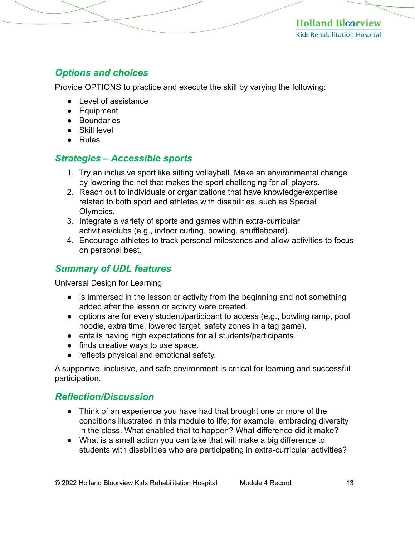## *Options and choices*

Provide OPTIONS to practice and execute the skill by varying the following:

- Level of assistance
- Equipment
- Boundaries
- Skill level
- Rules

## *Strategies – Accessible sports*

- 1. Try an inclusive sport like sitting volleyball. Make an environmental change by lowering the net that makes the sport challenging for all players.
- 2. Reach out to individuals or organizations that have knowledge/expertise related to both sport and athletes with disabilities, such as Special Olympics.
- 3. Integrate a variety of sports and games within extra-curricular activities/clubs (e.g., indoor curling, bowling, shuffleboard).
- 4. Encourage athletes to track personal milestones and allow activities to focus on personal best.

## *Summary of UDL features*

Universal Design for Learning

- is immersed in the lesson or activity from the beginning and not something added after the lesson or activity were created.
- options are for every student/participant to access (e.g., bowling ramp, pool noodle, extra time, lowered target, safety zones in a tag game).
- entails having high expectations for all students/participants.
- finds creative ways to use space.
- reflects physical and emotional safety.

A supportive, inclusive, and safe environment is critical for learning and successful participation.

## *Reflection/Discussion*

- Think of an experience you have had that brought one or more of the conditions illustrated in this module to life; for example, embracing diversity in the class. What enabled that to happen? What difference did it make?
- What is a small action you can take that will make a big difference to students with disabilities who are participating in extra-curricular activities?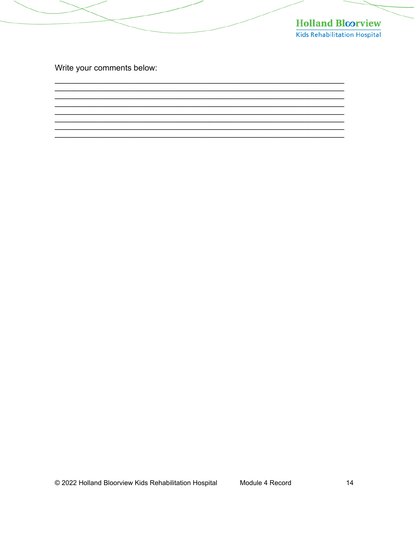

Write your comments below: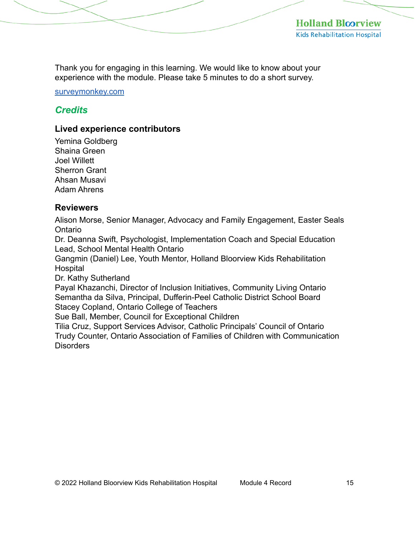Thank you for engaging in this learning. We would like to know about your experience with the module. Please take 5 minutes to do a short survey.

[surveymonkey.com](https://www.surveymonkey.com/r/2JFVHR7)

## *Credits*

## **Lived experience contributors**

Yemina Goldberg Shaina Green Joel Willett Sherron Grant Ahsan Musavi Adam Ahrens

#### **Reviewers**

Alison Morse, Senior Manager, Advocacy and Family Engagement, Easter Seals Ontario

Dr. Deanna Swift, Psychologist, Implementation Coach and Special Education Lead, School Mental Health Ontario

Gangmin (Daniel) Lee, Youth Mentor, Holland Bloorview Kids Rehabilitation **Hospital** 

Dr. Kathy Sutherland

Payal Khazanchi, Director of Inclusion Initiatives, Community Living Ontario Semantha da Silva, Principal, Dufferin-Peel Catholic District School Board Stacey Copland, Ontario College of Teachers

Sue Ball, Member, Council for Exceptional Children

Tilia Cruz, Support Services Advisor, Catholic Principals' Council of Ontario Trudy Counter, Ontario Association of Families of Children with Communication Disorders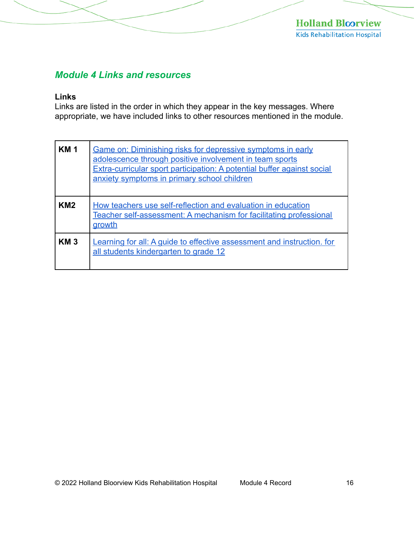## *Module 4 Links and resources*

#### **Links**

Links are listed in the order in which they appear in the key messages. Where appropriate, we have included links to other resources mentioned in the module.

| <b>KM</b> 1     | Game on: Diminishing risks for depressive symptoms in early<br>adolescence through positive involvement in team sports<br>Extra-curricular sport participation: A potential buffer against social<br>anxiety symptoms in primary school children |
|-----------------|--------------------------------------------------------------------------------------------------------------------------------------------------------------------------------------------------------------------------------------------------|
| KM <sub>2</sub> | How teachers use self-reflection and evaluation in education<br>Teacher self-assessment: A mechanism for facilitating professional<br>growth                                                                                                     |
| KM <sub>3</sub> | Learning for all: A guide to effective assessment and instruction, for<br>all students kindergarten to grade 12                                                                                                                                  |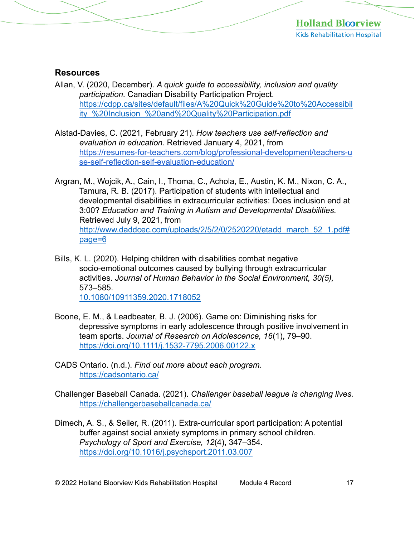#### **Resources**

- Allan, V. (2020, December). *A quick guide to accessibility, inclusion and quality participation.* Canadian Disability Participation Project. [https://cdpp.ca/sites/default/files/A%20Quick%20Guide%20to%20Accessibil](https://cdpp.ca/sites/default/files/A%20Quick%20Guide%20to%20Accessibility_%20Inclusion_%20and%20Quality%20Participation.pdf)  ity\_%20Inclusion\_%20and%20Quality%20Participation.pdf
- Alstad-Davies, C. (2021, February 21). *How teachers use self-reflection and evaluation in education*. Retrieved January 4, 2021, from [https://resumes-for-teachers.com/blog/professional-development/teachers-u](https://resumes-for-teachers.com/blog/professional-development/teachers-use-self-reflection-self-evaluation-education/)  se-self-reflection-self-evaluation-education/
- Argran, M., Wojcik, A., Cain, I., Thoma, C., Achola, E., Austin, K. M., Nixon, C. A., Tamura, R. B. (2017). Participation of students with intellectual and developmental disabilities in extracurricular activities: Does inclusion end at 3:00? *Education and Training in Autism and Developmental Disabilities.*  Retrieved July 9, 2021, from http://www.daddcec.com/uploads/2/5/2/0/2520220/etadd\_march\_52\_1.pdf# page=6
- Bills, K. L. (2020). Helping children with disabilities combat negative socio-emotional outcomes caused by bullying through extracurricular activities. *Journal of Human Behavior in the Social Environment, 30(5),*  573–585. [10.1080/10911359.2020.1718052](https://doi.org/10.1080/10911359.2020.1718052)
- Boone, E. M., & Leadbeater, B. J. (2006). Game on: Diminishing risks for depressive symptoms in early adolescence through positive involvement in team sports. *Journal of Research on Adolescence, 16*(1), 79–90. <https://doi.org/10.1111/j.1532-7795.2006.00122.x>
- CADS Ontario. (n.d.). *Find out more about each program*. <https://cadsontario.ca/>
- Challenger Baseball Canada. (2021). *Challenger baseball league is changing lives.*  <https://challengerbaseballcanada.ca/>
- Dimech, A. S., & Seiler, R. (2011). Extra-curricular sport participation: A potential buffer against social anxiety symptoms in primary school children. *Psychology of Sport and Exercise, 12*(4), 347–354. <https://doi.org/10.1016/j.psychsport.2011.03.007>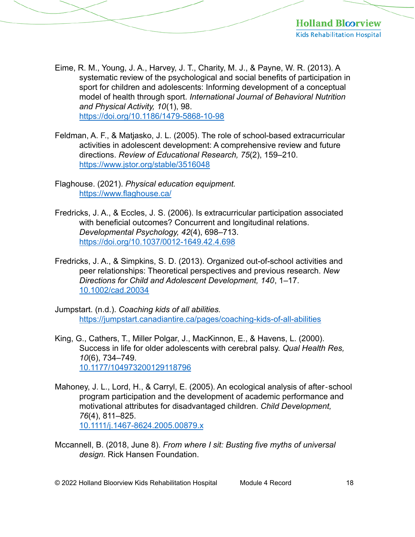- Eime, R. M., Young, J. A., Harvey, J. T., Charity, M. J., & Payne, W. R. (2013). A systematic review of the psychological and social benefits of participation in sport for children and adolescents: Informing development of a conceptual model of health through sport. *International Journal of Behavioral Nutrition and Physical Activity, 10*(1), 98. <https://doi.org/10.1186/1479-5868-10-98>
- Feldman, A. F., & Matjasko, J. L. (2005). The role of school-based extracurricular activities in adolescent development: A comprehensive review and future directions. *Review of Educational Research, 75*(2), 159–210. <https://www.jstor.org/stable/3516048>
- Flaghouse. (2021). *Physical education equipment.*  <https://www.flaghouse.ca/>
- Fredricks, J. A., & Eccles, J. S. (2006). Is extracurricular participation associated with beneficial outcomes? Concurrent and longitudinal relations. *Developmental Psychology, 42*(4), 698–713. <https://doi.org/10.1037/0012-1649.42.4.698>
- Fredricks, J. A., & Simpkins, S. D. (2013). Organized out-of-school activities and peer relationships: Theoretical perspectives and previous research. *New Directions for Child and Adolescent Development, 140*, 1–17. [10.1002/cad.20034](https://doi.org/10.1002/cad.20034)
- Jumpstart. (n.d.). *Coaching kids of all abilities.*  <https://jumpstart.canadiantire.ca/pages/coaching-kids-of-all-abilities>
- King, G., Cathers, T., Miller Polgar, J., MacKinnon, E., & Havens, L. (2000). Success in life for older adolescents with cerebral palsy. *Qual Health Res, 10*(6), 734–749. [10.1177/104973200129118796](https://doi.org/10.1177/104973200129118796)
- Mahoney, J. L., Lord, H., & Carryl, E. (2005). An ecological analysis of after‐school program participation and the development of academic performance and motivational attributes for disadvantaged children. *Child Development, 76*(4), 811–825. [10.1111/j.1467-8624.2005.00879.x](https://doi.org/10.1111/j.1467-8624.2005.00879.x)
- Mccannell, B. (2018, June 8). *From where I sit: Busting five myths of universal design.* Rick Hansen Foundation.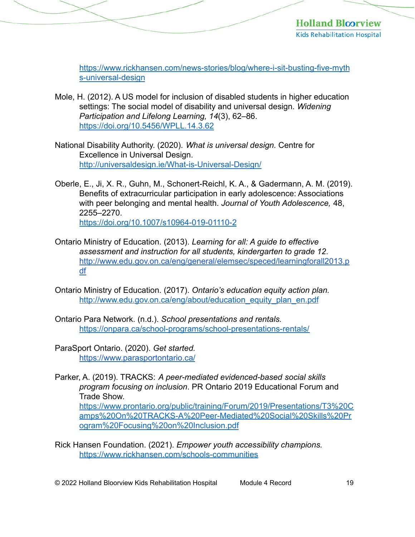[https://www.rickhansen.com/news-stories/blog/where-i-sit-busting-five-myth](https://www.rickhansen.com/news-stories/blog/where-i-sit-busting-five-myths-universal-design) s-universal-design

- Mole, H. (2012). A US model for inclusion of disabled students in higher education settings: The social model of disability and universal design. *Widening Participation and Lifelong Learning, 14*(3), 62–86. <https://doi.org/10.5456/WPLL.14.3.62>
- National Disability Authority. (2020). *What is universal design.* Centre for Excellence in Universal Design. http://universaldesign.je/What-is-Universal-Design/
- Oberle, E., Ji, X. R., Guhn, M., Schonert-Reichl, K. A., & Gadermann, A. M. (2019). Benefits of extracurricular participation in early adolescence: Associations with peer belonging and mental health. *Journal of Youth Adolescence,* 48, 2255–2270. <https://doi.org/10.1007/s10964-019-01110-2>
- Ontario Ministry of Education. (2013). *Learning for all: A guide to effective assessment and instruction for all students, kindergarten to grade 12*. [http://www.edu.gov.on.ca/eng/general/elemsec/speced/learningforall2013.p](http://www.edu.gov.on.ca/eng/general/elemsec/speced/learningforall2013.pdf)  df
- Ontario Ministry of Education. (2017). *Ontario's education equity action plan.*  [http://www.edu.gov.on.ca/eng/about/education\\_equity\\_plan\\_en.pdf](http://www.edu.gov.on.ca/eng/about/education_equity_plan_en.pdf)
- Ontario Para Network. (n.d.). *School presentations and rentals.*  <https://onpara.ca/school-programs/school-presentations-rentals/>
- ParaSport Ontario. (2020). *Get started.*  <https://www.parasportontario.ca/>
- Parker, A. (2019). TRACKS: *A peer-mediated evidenced-based social skills program focusing on inclusion*. PR Ontario 2019 Educational Forum and Trade Show.

[https://www.prontario.org/public/training/Forum/2019/Presentations/T3%20C](https://www.prontario.org/public/training/Forum/2019/Presentations/T3%20Camps%20On%20TRACKS-A%20Peer-Mediated%20Social%20Skills%20Program%20Focusing%20on%20Inclusion.pdf)  amps%20On%20TRACKS-A%20Peer-Mediated%20Social%20Skills%20Pr ogram%20Focusing%20on%20Inclusion.pdf

Rick Hansen Foundation. (2021). *Empower youth accessibility champions.*  <https://www.rickhansen.com/schools-communities>